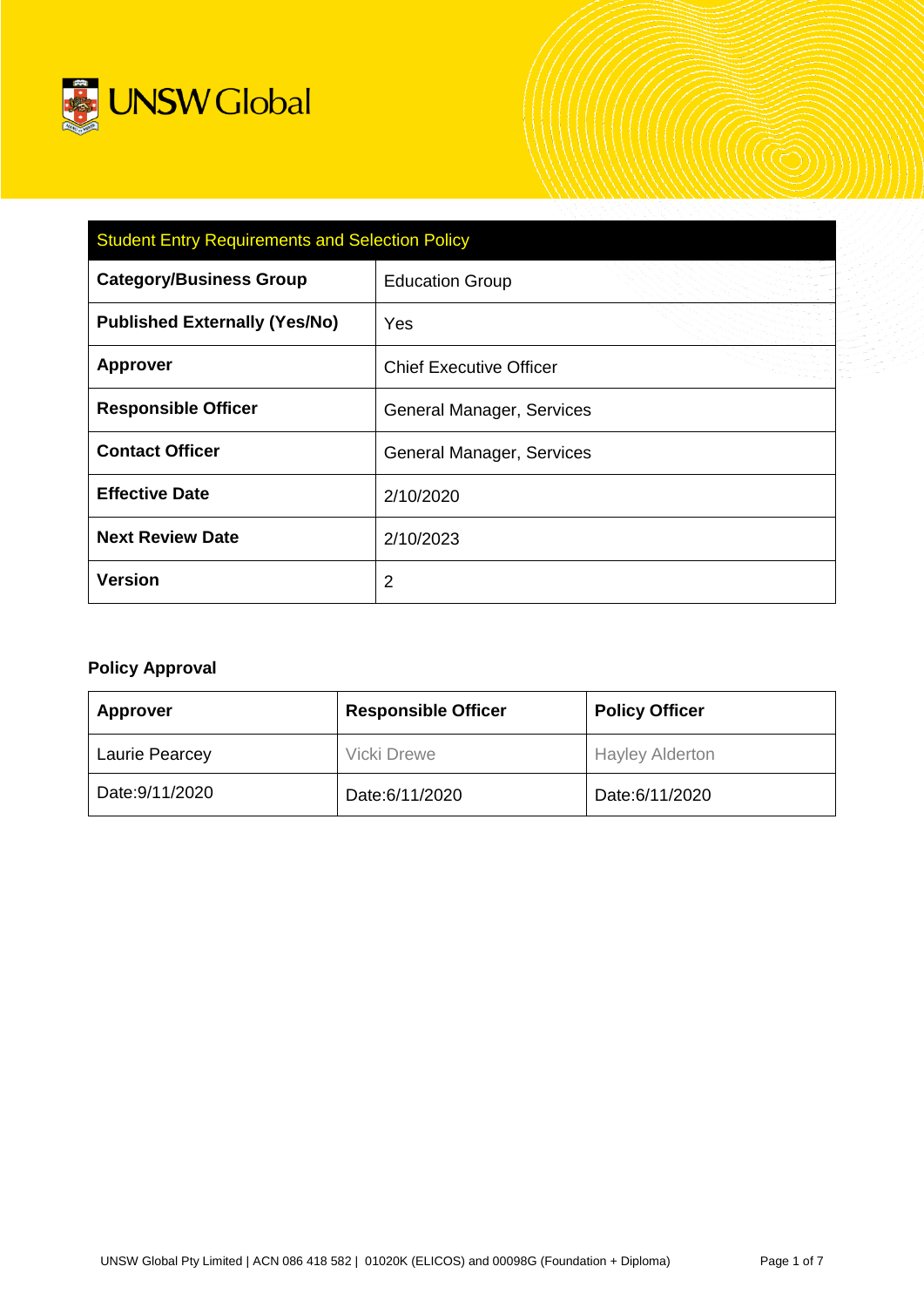

| <b>Student Entry Requirements and Selection Policy</b> |                                  |  |  |
|--------------------------------------------------------|----------------------------------|--|--|
| <b>Category/Business Group</b>                         | <b>Education Group</b>           |  |  |
| <b>Published Externally (Yes/No)</b>                   | Yes                              |  |  |
| <b>Approver</b>                                        | <b>Chief Executive Officer</b>   |  |  |
| <b>Responsible Officer</b>                             | General Manager, Services        |  |  |
| <b>Contact Officer</b>                                 | <b>General Manager, Services</b> |  |  |
| <b>Effective Date</b>                                  | 2/10/2020                        |  |  |
| <b>Next Review Date</b>                                | 2/10/2023                        |  |  |
| <b>Version</b>                                         | 2                                |  |  |

# **Policy Approval**

| <b>Approver</b>       | <b>Responsible Officer</b> | <b>Policy Officer</b>  |  |
|-----------------------|----------------------------|------------------------|--|
| <b>Laurie Pearcey</b> | <b>Vicki Drewe</b>         | <b>Hayley Alderton</b> |  |
| Date: 9/11/2020       | Date:6/11/2020             | Date:6/11/2020         |  |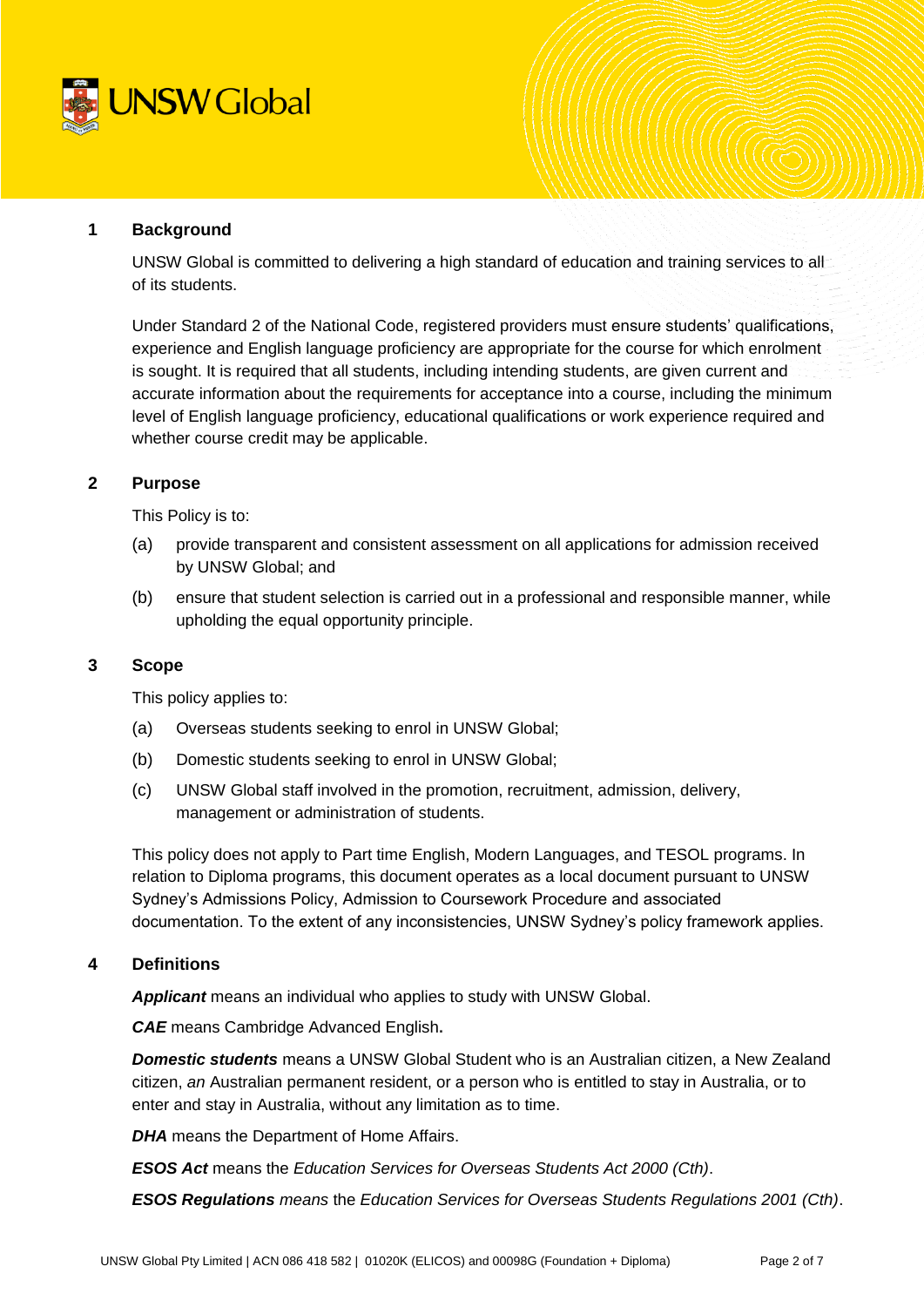

## **1 Background**

UNSW Global is committed to delivering a high standard of education and training services to all of its students.

Under Standard 2 of the National Code, registered providers must ensure students' qualifications, experience and English language proficiency are appropriate for the course for which enrolment is sought. It is required that all students, including intending students, are given current and accurate information about the requirements for acceptance into a course, including the minimum level of English language proficiency, educational qualifications or work experience required and whether course credit may be applicable.

## **2 Purpose**

This Policy is to:

- (a) provide transparent and consistent assessment on all applications for admission received by UNSW Global; and
- (b) ensure that student selection is carried out in a professional and responsible manner, while upholding the equal opportunity principle.

### **3 Scope**

This policy applies to:

- (a) Overseas students seeking to enrol in UNSW Global;
- (b) Domestic students seeking to enrol in UNSW Global;
- (c) UNSW Global staff involved in the promotion, recruitment, admission, delivery, management or administration of students.

This policy does not apply to Part time English, Modern Languages, and TESOL programs. In relation to Diploma programs, this document operates as a local document pursuant to UNSW Sydney's Admissions Policy, Admission to Coursework Procedure and associated documentation. To the extent of any inconsistencies, UNSW Sydney's policy framework applies.

### **4 Definitions**

*Applicant* means an individual who applies to study with UNSW Global.

*CAE* means Cambridge Advanced English**.**

*Domestic students* means a UNSW Global Student who is an Australian citizen, a New Zealand citizen, *an* Australian permanent resident, or a person who is entitled to stay in Australia, or to enter and stay in Australia, without any limitation as to time.

*DHA* means the Department of Home Affairs.

*ESOS Act* means the *Education Services for Overseas Students Act 2000 (Cth)*.

*ESOS Regulations means* the *Education Services for Overseas Students Regulations 2001 (Cth)*.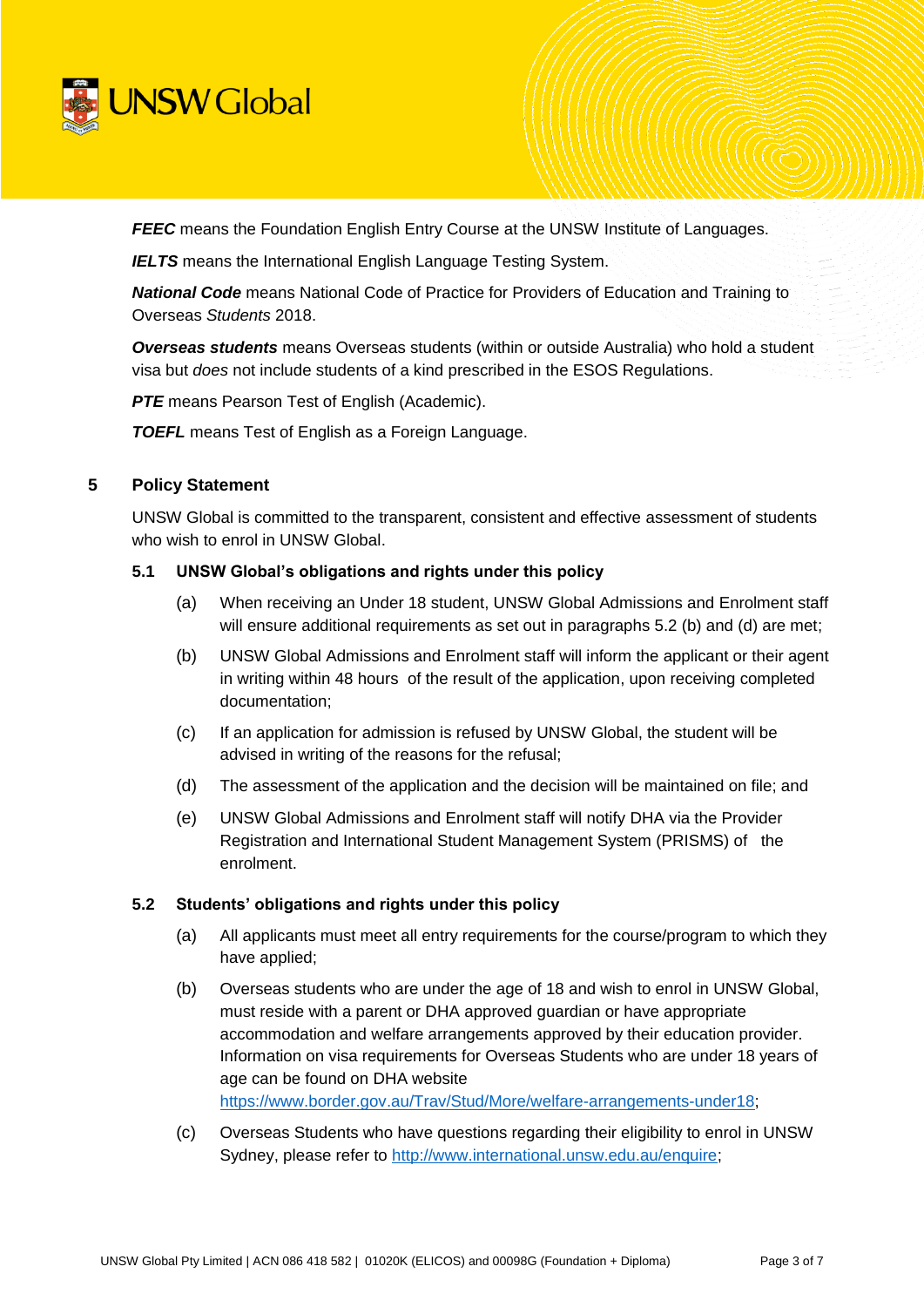

**FEEC** means the Foundation English Entry Course at the UNSW Institute of Languages.

**IELTS** means the International English Language Testing System.

*National Code* means National Code of Practice for Providers of Education and Training to Overseas *Students* 2018.

*Overseas students* means Overseas students (within or outside Australia) who hold a student visa but *does* not include students of a kind prescribed in the ESOS Regulations.

**PTE** means Pearson Test of English (Academic).

*TOEFL* means Test of English as a Foreign Language.

## **5 Policy Statement**

UNSW Global is committed to the transparent, consistent and effective assessment of students who wish to enrol in UNSW Global.

#### **5.1 UNSW Global's obligations and rights under this policy**

- (a) When receiving an Under 18 student, UNSW Global Admissions and Enrolment staff will ensure additional requirements as set out in paragraphs 5.2 (b) and (d) are met;
- (b) UNSW Global Admissions and Enrolment staff will inform the applicant or their agent in writing within 48 hours of the result of the application, upon receiving completed documentation;
- (c) If an application for admission is refused by UNSW Global, the student will be advised in writing of the reasons for the refusal;
- (d) The assessment of the application and the decision will be maintained on file; and
- (e) UNSW Global Admissions and Enrolment staff will notify DHA via the Provider Registration and International Student Management System (PRISMS) of the enrolment.

### **5.2 Students' obligations and rights under this policy**

- (a) All applicants must meet all entry requirements for the course/program to which they have applied;
- (b) Overseas students who are under the age of 18 and wish to enrol in UNSW Global, must reside with a parent or DHA approved guardian or have appropriate accommodation and welfare arrangements approved by their education provider. Information on visa requirements for Overseas Students who are under 18 years of age can be found on DHA website [https://www.border.gov.au/Trav/Stud/More/welfare-arrangements-under18;](https://www.border.gov.au/Trav/Stud/More/welfare-arrangements-under18)
- (c) Overseas Students who have questions regarding their eligibility to enrol in UNSW Sydney, please refer to [http://www.international.unsw.edu.au/enquire;](http://www.international.unsw.edu.au/enquire)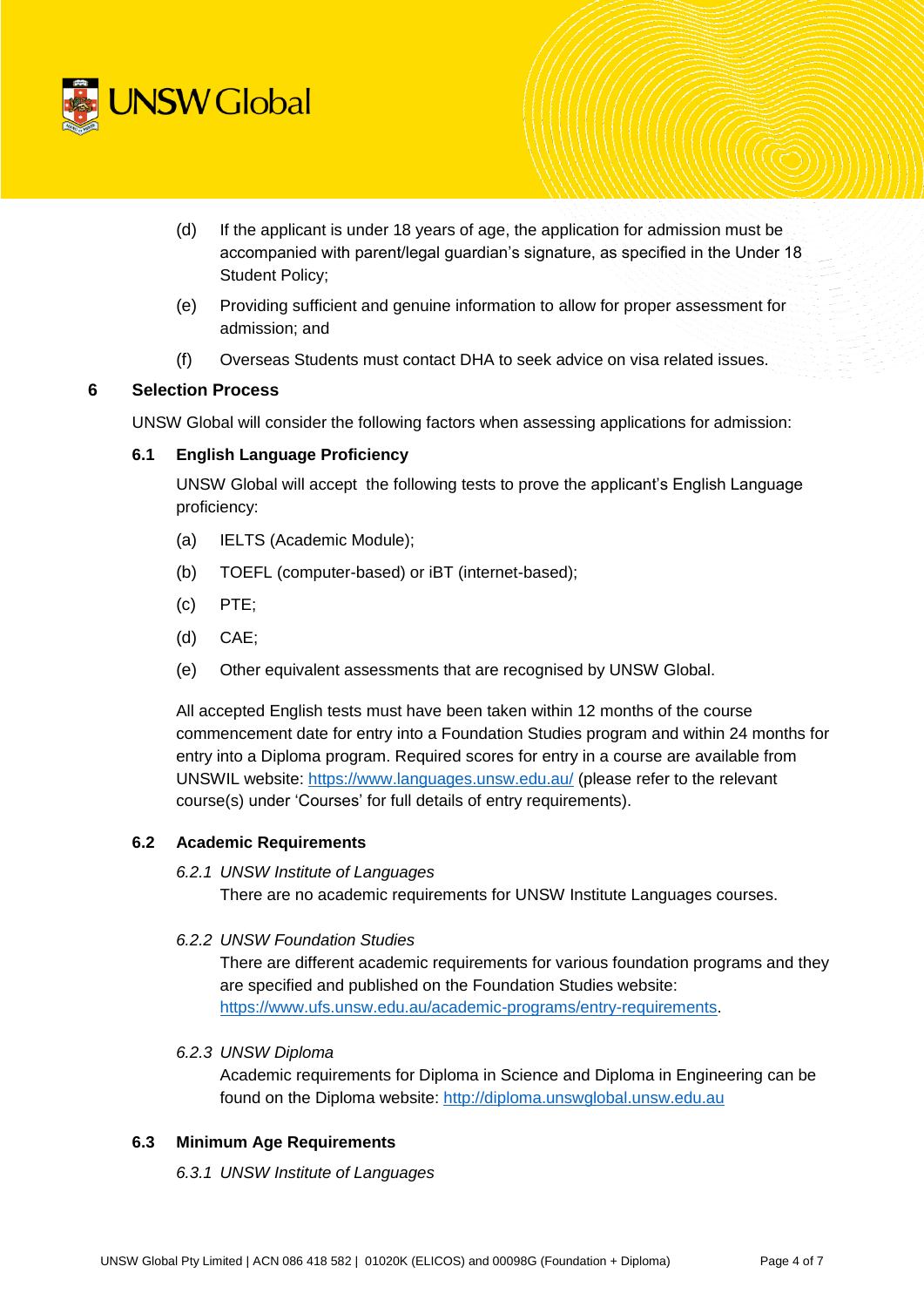

- (d) If the applicant is under 18 years of age, the application for admission must be accompanied with parent/legal guardian's signature, as specified in the Under 18 Student Policy;
- (e) Providing sufficient and genuine information to allow for proper assessment for admission; and
- (f) Overseas Students must contact DHA to seek advice on visa related issues.

## **6 Selection Process**

UNSW Global will consider the following factors when assessing applications for admission:

### **6.1 English Language Proficiency**

UNSW Global will accept the following tests to prove the applicant's English Language proficiency:

- (a) IELTS (Academic Module);
- (b) TOEFL (computer-based) or iBT (internet-based);
- (c) PTE;
- (d) CAE;
- (e) Other equivalent assessments that are recognised by UNSW Global.

All accepted English tests must have been taken within 12 months of the course commencement date for entry into a Foundation Studies program and within 24 months for entry into a Diploma program. Required scores for entry in a course are available from UNSWIL website:<https://www.languages.unsw.edu.au/> (please refer to the relevant course(s) under 'Courses' for full details of entry requirements).

#### **6.2 Academic Requirements**

### *6.2.1 UNSW Institute of Languages*

There are no academic requirements for UNSW Institute Languages courses.

#### *6.2.2 UNSW Foundation Studies*

There are different academic requirements for various foundation programs and they are specified and published on the Foundation Studies website: [https://www.ufs.unsw.edu.au/academic-programs/entry-requirements.](https://www.ufs.unsw.edu.au/academic-programs/entry-requirements)

*6.2.3 UNSW Diploma* 

Academic requirements for Diploma in Science and Diploma in Engineering can be found on the Diploma website: [http://diploma.unswglobal.unsw.edu.au](http://diploma.unswglobal.unsw.edu.au/)

### **6.3 Minimum Age Requirements**

#### *6.3.1 UNSW Institute of Languages*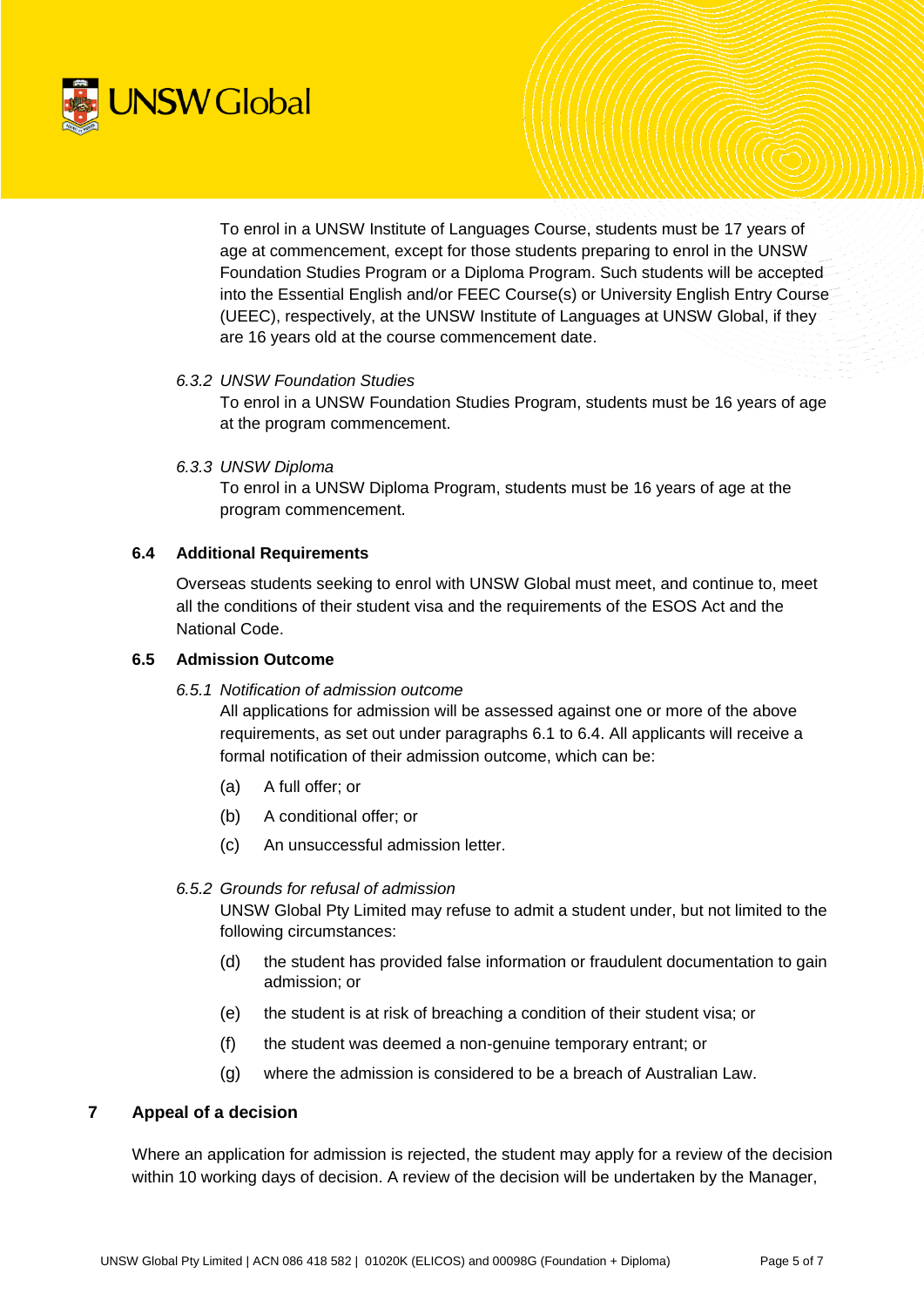

To enrol in a UNSW Institute of Languages Course, students must be 17 years of age at commencement, except for those students preparing to enrol in the UNSW Foundation Studies Program or a Diploma Program. Such students will be accepted into the Essential English and/or FEEC Course(s) or University English Entry Course (UEEC), respectively, at the UNSW Institute of Languages at UNSW Global, if they are 16 years old at the course commencement date.

### *6.3.2 UNSW Foundation Studies*

To enrol in a UNSW Foundation Studies Program, students must be 16 years of age at the program commencement.

#### *6.3.3 UNSW Diploma*

To enrol in a UNSW Diploma Program, students must be 16 years of age at the program commencement.

### **6.4 Additional Requirements**

Overseas students seeking to enrol with UNSW Global must meet, and continue to, meet all the conditions of their student visa and the requirements of the ESOS Act and the National Code.

### **6.5 Admission Outcome**

*6.5.1 Notification of admission outcome*

All applications for admission will be assessed against one or more of the above requirements, as set out under paragraphs 6.1 to 6.4. All applicants will receive a formal notification of their admission outcome, which can be:

- (a) A full offer; or
- (b) A conditional offer; or
- (c) An unsuccessful admission letter.

#### *6.5.2 Grounds for refusal of admission*

UNSW Global Pty Limited may refuse to admit a student under, but not limited to the following circumstances:

- (d) the student has provided false information or fraudulent documentation to gain admission; or
- (e) the student is at risk of breaching a condition of their student visa; or
- (f) the student was deemed a non-genuine temporary entrant; or
- (g) where the admission is considered to be a breach of Australian Law.

### **7 Appeal of a decision**

Where an application for admission is rejected, the student may apply for a review of the decision within 10 working days of decision. A review of the decision will be undertaken by the Manager,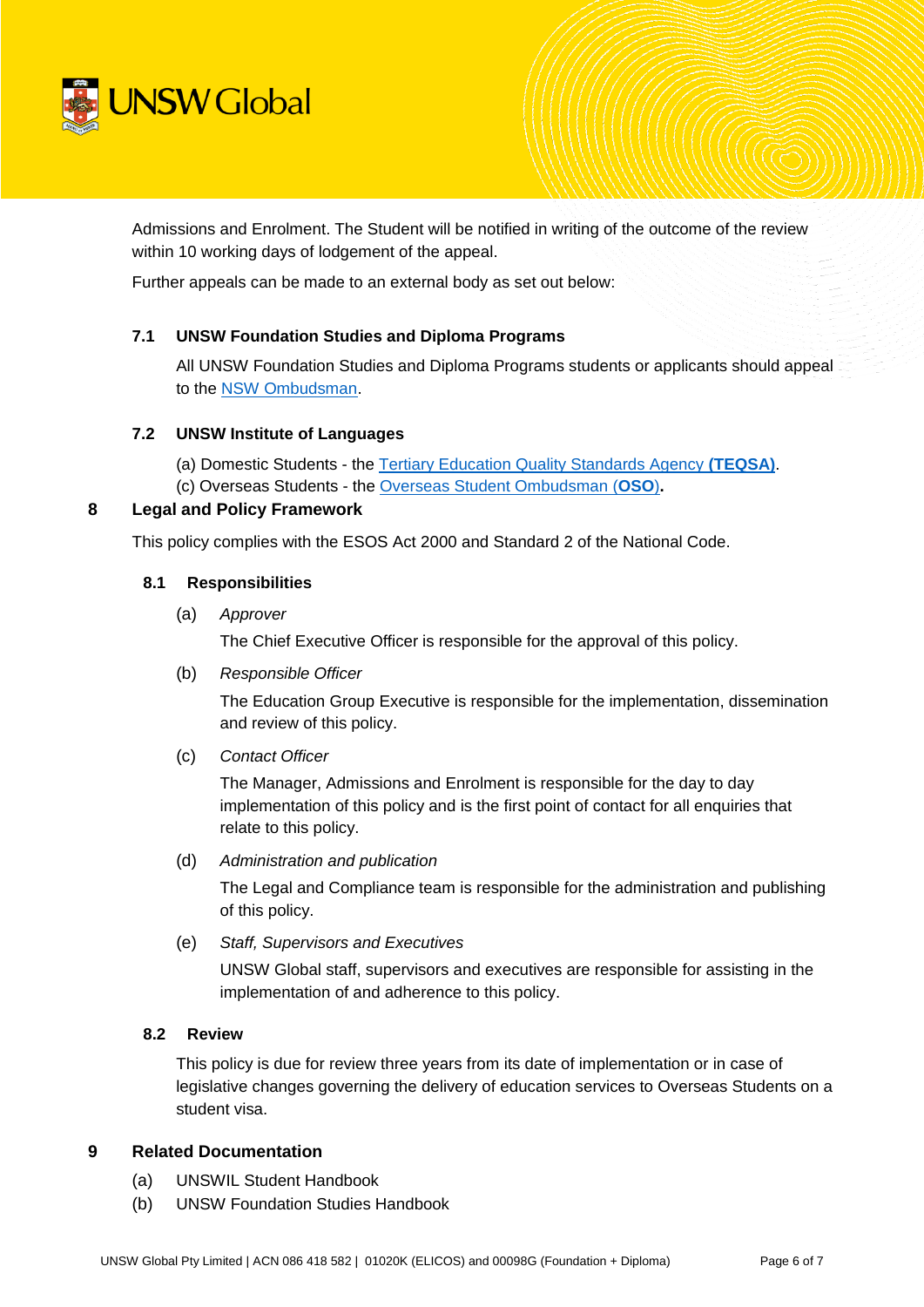

Admissions and Enrolment. The Student will be notified in writing of the outcome of the review within 10 working days of lodgement of the appeal.

Further appeals can be made to an external body as set out below:

## **7.1 UNSW Foundation Studies and Diploma Programs**

All UNSW Foundation Studies and Diploma Programs students or applicants should appeal to the [NSW Ombudsman.](https://www.ombo.nsw.gov.au/what-we-do/our-work/universities)

### **7.2 UNSW Institute of Languages**

(a) Domestic Students - the [Tertiary Education Quality Standards Agency](https://www.teqsa.gov.au/) **(TEQSA)**.

(c) Overseas Students - the [Overseas Student Ombudsman \(](http://www.ombudsman.gov.au/making-a-complaint/overseas-students)**OSO**)**.** 

## **8 Legal and Policy Framework**

This policy complies with the ESOS Act 2000 and Standard 2 of the National Code.

### **8.1 Responsibilities**

(a) *Approver*

The Chief Executive Officer is responsible for the approval of this policy.

(b) *Responsible Officer*

The Education Group Executive is responsible for the implementation, dissemination and review of this policy.

(c) *Contact Officer* 

The Manager, Admissions and Enrolment is responsible for the day to day implementation of this policy and is the first point of contact for all enquiries that relate to this policy.

(d) *Administration and publication*

The Legal and Compliance team is responsible for the administration and publishing of this policy.

(e) *Staff, Supervisors and Executives*

UNSW Global staff, supervisors and executives are responsible for assisting in the implementation of and adherence to this policy.

### **8.2 Review**

This policy is due for review three years from its date of implementation or in case of legislative changes governing the delivery of education services to Overseas Students on a student visa.

### **9 Related Documentation**

- (a) UNSWIL Student Handbook
- (b) UNSW Foundation Studies Handbook